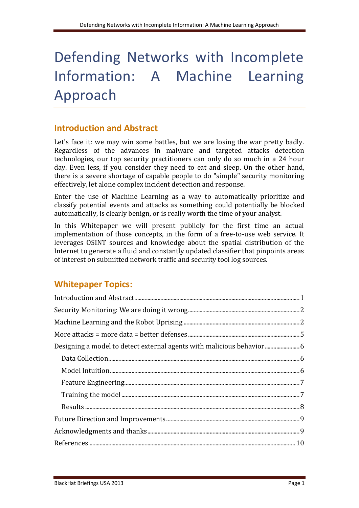# Defending Networks with Incomplete Information: A Machine Learning Approach

# **Introduction and Abstract**

Let's face it: we may win some battles, but we are losing the war pretty badly. Regardless of the advances in malware and targeted attacks detection technologies, our top security practitioners can only do so much in a 24 hour day. Even less, if you consider they need to eat and sleep. On the other hand, there is a severe shortage of capable people to do "simple" security monitoring effectively, let alone complex incident detection and response.

Enter the use of Machine Learning as a way to automatically prioritize and classify potential events and attacks as something could potentially be blocked automatically, is clearly benign, or is really worth the time of your analyst.

In this Whitepaper we will present publicly for the first time an actual implementation of those concepts, in the form of a free-to-use web service. It leverages OSINT sources and knowledge about the spatial distribution of the Internet to generate a fluid and constantly updated classifier that pinpoints areas of interest on submitted network traffic and security tool log sources.

# **Whitepaper Topics:**

| Designing a model to detect external agents with malicious behavior |  |
|---------------------------------------------------------------------|--|
|                                                                     |  |
|                                                                     |  |
|                                                                     |  |
|                                                                     |  |
|                                                                     |  |
|                                                                     |  |
|                                                                     |  |
|                                                                     |  |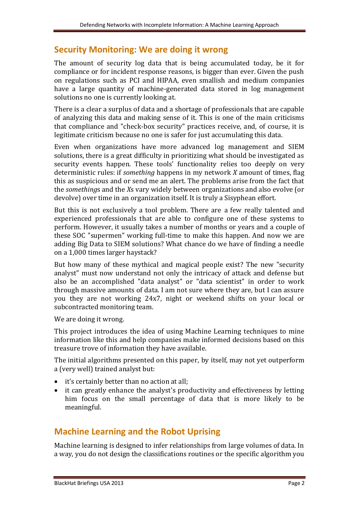## **Security Monitoring: We are doing it wrong**

The amount of security log data that is being accumulated today, be it for compliance or for incident response reasons, is bigger than ever. Given the push on regulations such as PCI and HIPAA, even smallish and medium companies have a large quantity of machine-generated data stored in log management solutions no one is currently looking at.

There is a clear a surplus of data and a shortage of professionals that are capable of analyzing this data and making sense of it. This is one of the main criticisms that compliance and "check-box security" practices receive, and, of course, it is legitimate criticism because no one is safer for just accumulating this data.

Even when organizations have more advanced log management and SIEM solutions, there is a great difficulty in prioritizing what should be investigated as security events happen. These tools' functionality relies too deeply on very deterministic rules: if *something* happens in my network *X* amount of times, flag this as suspicious and or send me an alert. The problems arise from the fact that the *something*s and the *X*s vary widely between organizations and also evolve (or devolve) over time in an organization itself. It is truly a Sisyphean effort.

But this is not exclusively a tool problem. There are a few really talented and experienced professionals that are able to configure one of these systems to perform. However, it usually takes a number of months or years and a couple of these SOC "supermen" working full-time to make this happen. And now we are adding Big Data to SIEM solutions? What chance do we have of finding a needle on a 1,000 times larger haystack?

But how many of these mythical and magical people exist? The new "security analyst" must now understand not only the intricacy of attack and defense but also be an accomplished "data analyst" or "data scientist" in order to work through massive amounts of data. I am not sure where they are, but I can assure you they are not working 24x7, night or weekend shifts on your local or subcontracted monitoring team.

We are doing it wrong.

This project introduces the idea of using Machine Learning techniques to mine information like this and help companies make informed decisions based on this treasure trove of information they have available.

The initial algorithms presented on this paper, by itself, may not yet outperform a (very well) trained analyst but:

- it's certainly better than no action at all;
- it can greatly enhance the analyst's productivity and effectiveness by letting him focus on the small percentage of data that is more likely to be meaningful.

# **Machine Learning and the Robot Uprising**

Machine learning is designed to infer relationships from large volumes of data. In a way, you do not design the classifications routines or the specific algorithm you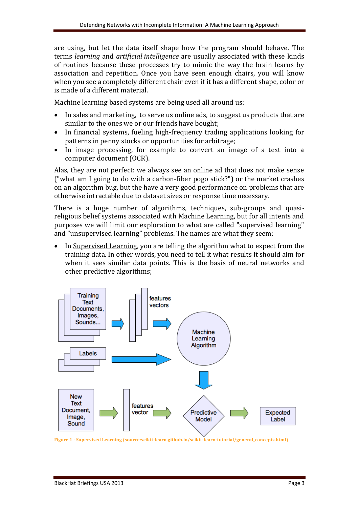are using, but let the data itself shape how the program should behave. The terms *learning* and *artificial intelligence* are usually associated with these kinds of routines because these processes try to mimic the way the brain learns by association and repetition. Once you have seen enough chairs, you will know when you see a completely different chair even if it has a different shape, color or is made of a different material.

Machine learning based systems are being used all around us:

- In sales and marketing, to serve us online ads, to suggest us products that are similar to the ones we or our friends have bought;
- In financial systems, fueling high-frequency trading applications looking for patterns in penny stocks or opportunities for arbitrage;
- In image processing, for example to convert an image of a text into a computer document (OCR).

Alas, they are not perfect: we always see an online ad that does not make sense ("what am I going to do with a carbon-fiber pogo stick?") or the market crashes on an algorithm bug, but the have a very good performance on problems that are otherwise intractable due to dataset sizes or response time necessary.

There is a huge number of algorithms, techniques, sub-groups and quasireligious belief systems associated with Machine Learning, but for all intents and purposes we will limit our exploration to what are called "supervised learning" and "unsupervised learning" problems. The names are what they seem:

• In Supervised Learning, you are telling the algorithm what to expect from the training data. In other words, you need to tell it what results it should aim for when it sees similar data points. This is the basis of neural networks and other predictive algorithms;



**Figure 1 - Supervised Learning (source:scikit-learn.github.io/scikit-learn-tutorial/general\_concepts.html)**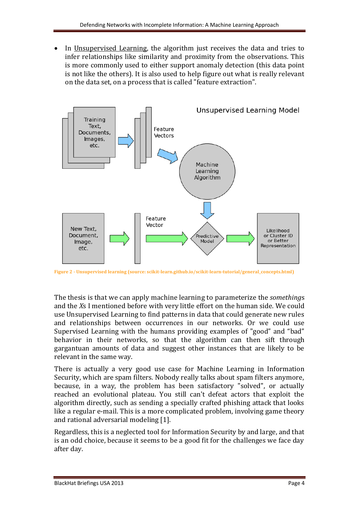• In Unsupervised Learning, the algorithm just receives the data and tries to infer relationships like similarity and proximity from the observations. This is more commonly used to either support anomaly detection (this data point is not like the others). It is also used to help figure out what is really relevant on the data set, on a process that is called "feature extraction".



**Figure 2 - Unsupervised learning (source: scikit-learn.github.io/scikit-learn-tutorial/general\_concepts.html)**

The thesis is that we can apply machine learning to parameterize the *something*s and the *X*s I mentioned before with very little effort on the human side. We could use Unsupervised Learning to find patterns in data that could generate new rules and relationships between occurrences in our networks. Or we could use Supervised Learning with the humans providing examples of "good" and "bad" behavior in their networks, so that the algorithm can then sift through gargantuan amounts of data and suggest other instances that are likely to be relevant in the same way.

There is actually a very good use case for Machine Learning in Information Security, which are spam filters. Nobody really talks about spam filters anymore, because, in a way, the problem has been satisfactory "solved", or actually reached an evolutional plateau. You still can't defeat actors that exploit the algorithm directly, such as sending a specially crafted phishing attack that looks like a regular e-mail. This is a more complicated problem, involving game theory and rational adversarial modeling [1].

Regardless, this is a neglected tool for Information Security by and large, and that is an odd choice, because it seems to be a good fit for the challenges we face day after day.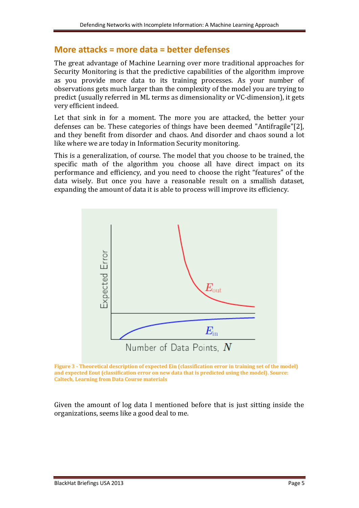## **More attacks = more data = better defenses**

The great advantage of Machine Learning over more traditional approaches for Security Monitoring is that the predictive capabilities of the algorithm improve as you provide more data to its training processes. As your number of observations gets much larger than the complexity of the model you are trying to predict (usually referred in ML terms as dimensionality or VC-dimension), it gets very efficient indeed.

Let that sink in for a moment. The more you are attacked, the better your defenses can be. These categories of things have been deemed "Antifragile"[2], and they benefit from disorder and chaos. And disorder and chaos sound a lot like where we are today in Information Security monitoring.

This is a generalization, of course. The model that you choose to be trained, the specific math of the algorithm you choose all have direct impact on its performance and efficiency, and you need to choose the right "features" of the data wisely. But once you have a reasonable result on a smallish dataset, expanding the amount of data it is able to process will improve its efficiency.





Given the amount of log data I mentioned before that is just sitting inside the organizations, seems like a good deal to me.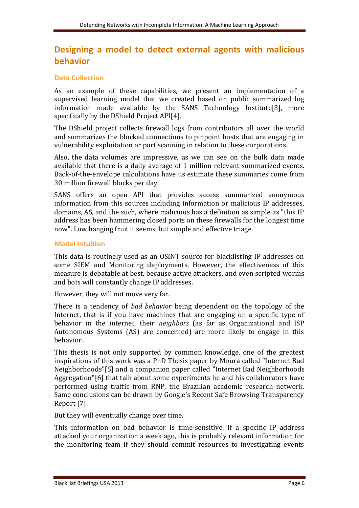# **Designing a model to detect external agents with malicious behavior**

## **Data Collection**

As an example of these capabilities, we present an implementation of a supervised learning model that we created based on public summarized log information made available by the SANS Technology Institute[3], more specifically by the DShield Project API[4].

The DShield project collects firewall logs from contributors all over the world and summarizes the blocked connections to pinpoint hosts that are engaging in vulnerability exploitation or port scanning in relation to these corporations.

Also, the data volumes are impressive, as we can see on the bulk data made available that there is a daily average of 1 million relevant summarized events. Back-of-the-envelope calculations have us estimate these summaries come from 30 million firewall blocks per day.

SANS offers an open API that provides access summarized anonymous information from this sources including information or malicious IP addresses, domains, AS, and the such, where malicious has a definition as simple as "this IP address has been hammering closed ports on these firewalls for the longest time now". Low hanging fruit it seems, but simple and effective triage.

#### **Model Intuition**

This data is routinely used as an OSINT source for blacklisting IP addresses on some SIEM and Monitoring deployments. However, the effectiveness of this measure is debatable at best, because active attackers, and even scripted worms and bots will constantly change IP addresses.

However, they will not move very far.

There is a tendency of *bad behavior* being dependent on the topology of the Internet, that is if you have machines that are engaging on a specific type of behavior in the internet, their *neighbors* (as far as Organizational and ISP Autonomous Systems (AS) are concerned) are more likely to engage in this behavior.

This thesis is not only supported by common knowledge, one of the greatest inspirations of this work was a PhD Thesis paper by Moura called "Internet Bad Neighborhoods"[5] and a companion paper called "Internet Bad Neighborhoods Aggregation"[6] that talk about some experiments he and his collaborators have performed using traffic from RNP, the Brazilian academic research network. Same conclusions can be drawn by Google's Recent Safe Browsing Transparency Report [7].

But they will eventually change over time.

This information on bad behavior is time-sensitive. If a specific IP address attacked your organization a week ago, this is probably relevant information for the monitoring team if they should commit resources to investigating events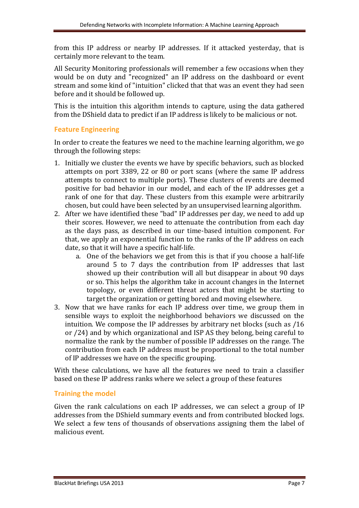from this IP address or nearby IP addresses. If it attacked yesterday, that is certainly more relevant to the team.

All Security Monitoring professionals will remember a few occasions when they would be on duty and "recognized" an IP address on the dashboard or event stream and some kind of "intuition" clicked that that was an event they had seen before and it should be followed up.

This is the intuition this algorithm intends to capture, using the data gathered from the DShield data to predict if an IP address is likely to be malicious or not.

#### **Feature Engineering**

In order to create the features we need to the machine learning algorithm, we go through the following steps:

- 1. Initially we cluster the events we have by specific behaviors, such as blocked attempts on port 3389, 22 or 80 or port scans (where the same IP address attempts to connect to multiple ports). These clusters of events are deemed positive for bad behavior in our model, and each of the IP addresses get a rank of one for that day. These clusters from this example were arbitrarily chosen, but could have been selected by an unsupervised learning algorithm.
- 2. After we have identified these "bad" IP addresses per day, we need to add up their scores. However, we need to attenuate the contribution from each day as the days pass, as described in our time-based intuition component. For that, we apply an exponential function to the ranks of the IP address on each date, so that it will have a specific half-life.
	- a. One of the behaviors we get from this is that if you choose a half-life around 5 to 7 days the contribution from IP addresses that last showed up their contribution will all but disappear in about 90 days or so. This helps the algorithm take in account changes in the Internet topology, or even different threat actors that might be starting to target the organization or getting bored and moving elsewhere.
- 3. Now that we have ranks for each IP address over time, we group them in sensible ways to exploit the neighborhood behaviors we discussed on the intuition. We compose the IP addresses by arbitrary net blocks (such as /16 or /24) and by which organizational and ISP AS they belong, being careful to normalize the rank by the number of possible IP addresses on the range. The contribution from each IP address must be proportional to the total number of IP addresses we have on the specific grouping.

With these calculations, we have all the features we need to train a classifier based on these IP address ranks where we select a group of these features

## **Training the model**

Given the rank calculations on each IP addresses, we can select a group of IP addresses from the DShield summary events and from contributed blocked logs. We select a few tens of thousands of observations assigning them the label of malicious event.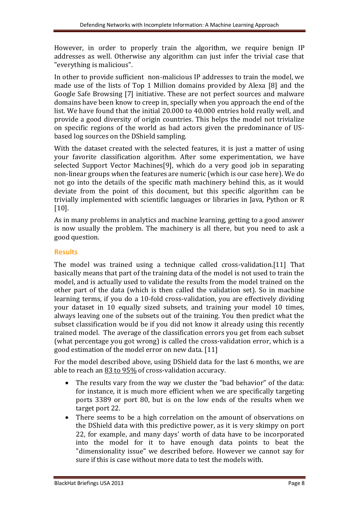However, in order to properly train the algorithm, we require benign IP addresses as well. Otherwise any algorithm can just infer the trivial case that "everything is malicious".

In other to provide sufficient non-malicious IP addresses to train the model, we made use of the lists of Top 1 Million domains provided by Alexa [8] and the Google Safe Browsing [7] initiative. These are not perfect sources and malware domains have been know to creep in, specially when you approach the end of the list. We have found that the initial 20.000 to 40.000 entries hold really well, and provide a good diversity of origin countries. This helps the model not trivialize on specific regions of the world as bad actors given the predominance of USbased log sources on the DShield sampling.

With the dataset created with the selected features, it is just a matter of using your favorite classification algorithm. After some experimentation, we have selected Support Vector Machines[9], which do a very good job in separating non-linear groups when the features are numeric (which is our case here). We do not go into the details of the specific math machinery behind this, as it would deviate from the point of this document, but this specific algorithm can be trivially implemented with scientific languages or libraries in Java, Python or R [10].

As in many problems in analytics and machine learning, getting to a good answer is now usually the problem. The machinery is all there, but you need to ask a good question.

## **Results**

The model was trained using a technique called cross-validation.[11] That basically means that part of the training data of the model is not used to train the model, and is actually used to validate the results from the model trained on the other part of the data (which is then called the validation set). So in machine learning terms, if you do a 10-fold cross-validation, you are effectively dividing your dataset in 10 equally sized subsets, and training your model 10 times, always leaving one of the subsets out of the training. You then predict what the subset classification would be if you did not know it already using this recently trained model. The average of the classification errors you get from each subset (what percentage you got wrong) is called the cross-validation error, which is a good estimation of the model error on new data. [11]

For the model described above, using DShield data for the last 6 months, we are able to reach an 83 to 95% of cross-validation accuracy.

- The results vary from the way we cluster the "bad behavior" of the data: for instance, it is much more efficient when we are specifically targeting ports 3389 or port 80, but is on the low ends of the results when we target port 22.
- There seems to be a high correlation on the amount of observations on the DShield data with this predictive power, as it is very skimpy on port 22, for example, and many days' worth of data have to be incorporated into the model for it to have enough data points to beat the "dimensionality issue" we described before. However we cannot say for sure if this is case without more data to test the models with.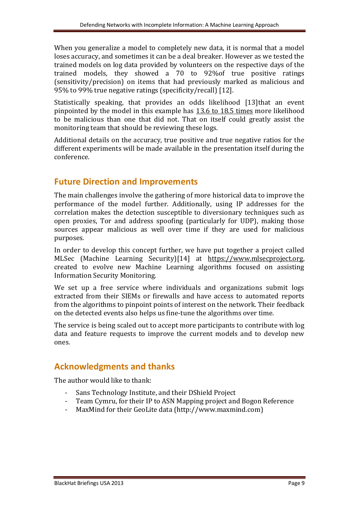When you generalize a model to completely new data, it is normal that a model loses accuracy, and sometimes it can be a deal breaker. However as we tested the trained models on log data provided by volunteers on the respective days of the trained models, they showed a 70 to 92%of true positive ratings (sensitivity/precision) on items that had previously marked as malicious and 95% to 99% true negative ratings (specificity/recall) [12].

Statistically speaking, that provides an odds likelihood [13]that an event pinpointed by the model in this example has 13.6 to 18.5 times more likelihood to be malicious than one that did not. That on itself could greatly assist the monitoring team that should be reviewing these logs.

Additional details on the accuracy, true positive and true negative ratios for the different experiments will be made available in the presentation itself during the conference.

# **Future Direction and Improvements**

The main challenges involve the gathering of more historical data to improve the performance of the model further. Additionally, using IP addresses for the correlation makes the detection susceptible to diversionary techniques such as open proxies, Tor and address spoofing (particularly for UDP), making those sources appear malicious as well over time if they are used for malicious purposes.

In order to develop this concept further, we have put together a project called MLSec (Machine Learning Security)[14] at https://www.mlsecproject.org, created to evolve new Machine Learning algorithms focused on assisting Information Security Monitoring.

We set up a free service where individuals and organizations submit logs extracted from their SIEMs or firewalls and have access to automated reports from the algorithms to pinpoint points of interest on the network. Their feedback on the detected events also helps us fine-tune the algorithms over time.

The service is being scaled out to accept more participants to contribute with log data and feature requests to improve the current models and to develop new ones.

# **Acknowledgments and thanks**

The author would like to thank:

- Sans Technology Institute, and their DShield Project
- Team Cymru, for their IP to ASN Mapping project and Bogon Reference
- MaxMind for their GeoLite data (http://www.maxmind.com)